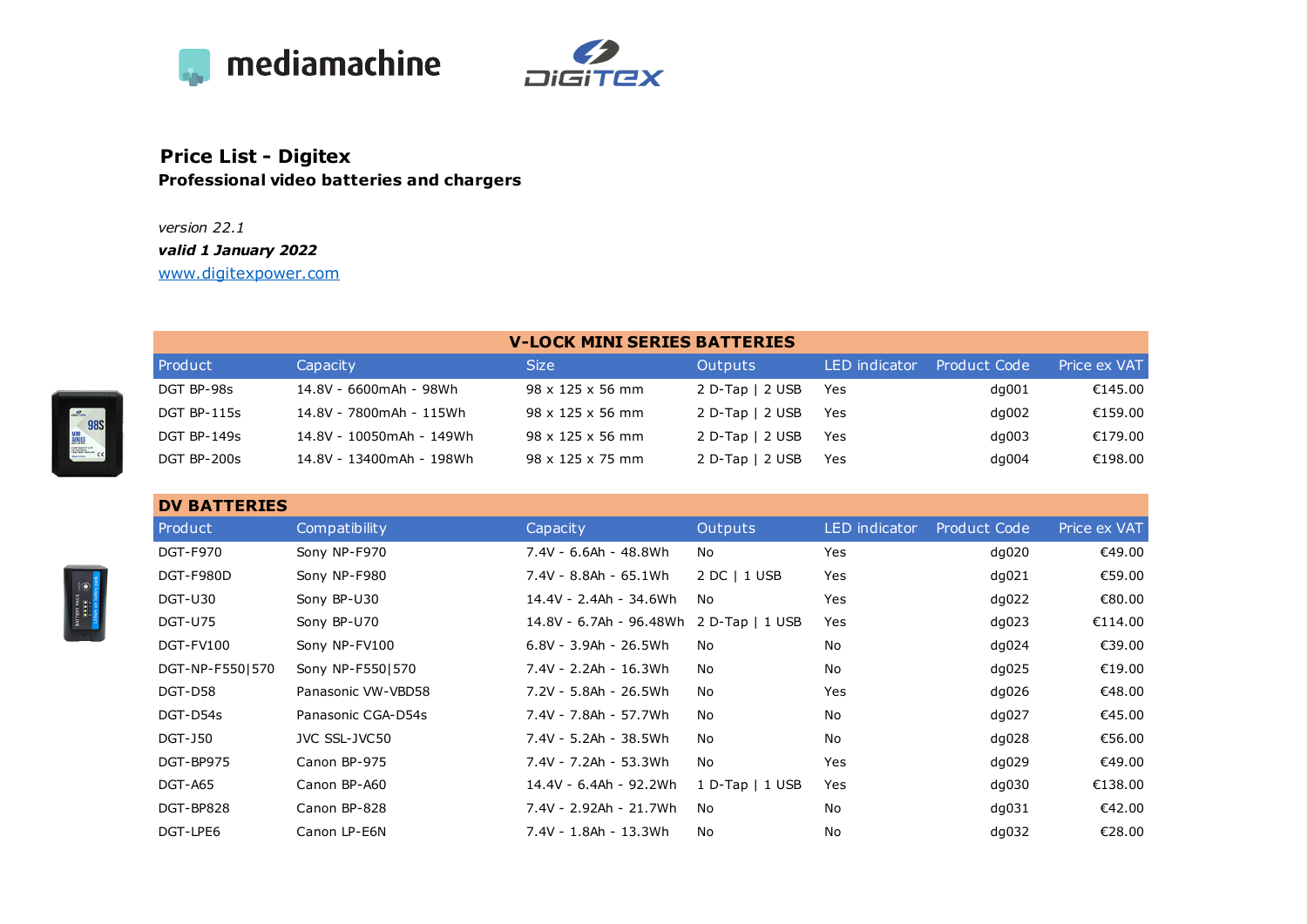



## **Price List - Digitex Professional video batteries and chargers**

## *version 22.1 valid 1 January 2022*

[www.digitexpower.com](http://www.digitexpower.com)

| <b>V-LOCK MINI SERIES BATTERIES</b> |
|-------------------------------------|
|-------------------------------------|

| Product            | Capacity                 | Size                         | Outputs           | LED indicator | Product Code | Price ex VAT |
|--------------------|--------------------------|------------------------------|-------------------|---------------|--------------|--------------|
| DGT BP-98s         | 14.8V - 6600mAh - 98Wh   | $98 \times 125 \times 56$ mm | $2 D-Tap$   2 USB | Yes           | dq001        | €145.00      |
| DGT BP-115s        | 14.8V - 7800mAh - 115Wh  | $98 \times 125 \times 56$ mm | $2 D-Tap$   2 USB | Yes.          | dq002        | €159.00      |
| <b>DGT BP-149s</b> | 14.8V - 10050mAh - 149Wh | 98 x 125 x 56 mm             | $2 D-Tap$   2 USB | Yes           | $dq$ 003     | €179.00      |
| DGT BP-200s        | 14.8V - 13400mAh - 198Wh | $98 \times 125 \times 75$ mm | $2 D-Tap$   2 USB | Yes           | $dq$ 004     | €198.00      |

| <b>DV BATTERIES</b> |                    |                         |                     |                      |                     |              |
|---------------------|--------------------|-------------------------|---------------------|----------------------|---------------------|--------------|
| Product             | Compatibility      | Capacity                | <b>Outputs</b>      | <b>LED</b> indicator | <b>Product Code</b> | Price ex VAT |
| <b>DGT-F970</b>     | Sony NP-F970       | 7.4V - 6.6Ah - 48.8Wh   | No                  | Yes                  | dq020               | €49.00       |
| DGT-F980D           | Sony NP-F980       | 7.4V - 8.8Ah - 65.1Wh   | 2 DC   1 USB        | Yes                  | dq021               | €59.00       |
| DGT-U30             | Sony BP-U30        | 14.4V - 2.4Ah - 34.6Wh  | No                  | Yes                  | dq022               | €80.00       |
| <b>DGT-U75</b>      | Sony BP-U70        | 14.8V - 6.7Ah - 96.48Wh | $2 D-Tap$   1 USB   | Yes                  | dq023               | €114.00      |
| DGT-FV100           | Sony NP-FV100      | 6.8V - 3.9Ah - 26.5Wh   | No                  | No                   | dq024               | €39.00       |
| DGT-NP-F5501570     | Sony NP-F5501570   | 7.4V - 2.2Ah - 16.3Wh   | No                  | No                   | dq025               | €19.00       |
| DGT-D58             | Panasonic VW-VBD58 | 7.2V - 5.8Ah - 26.5Wh   | No                  | Yes                  | dq026               | €48.00       |
| DGT-D54s            | Panasonic CGA-D54s | 7.4V - 7.8Ah - 57.7Wh   | No                  | No                   | dq027               | €45.00       |
| <b>DGT-J50</b>      | JVC SSL-JVC50      | 7.4V - 5.2Ah - 38.5Wh   | No                  | No                   | dq028               | €56.00       |
| DGT-BP975           | Canon BP-975       | 7.4V - 7.2Ah - 53.3Wh   | No                  | Yes                  | dq029               | €49.00       |
| DGT-A65             | Canon BP-A60       | 14.4V - 6.4Ah - 92.2Wh  | $1 D-Tap$   $1 USB$ | Yes                  | dq030               | €138.00      |
| DGT-BP828           | Canon BP-828       | 7.4V - 2.92Ah - 21.7Wh  | No                  | No                   | dq031               | €42.00       |
| DGT-LPE6            | Canon LP-E6N       | 7.4V - 1.8Ah - 13.3Wh   | No                  | No                   | dq032               | €28.00       |